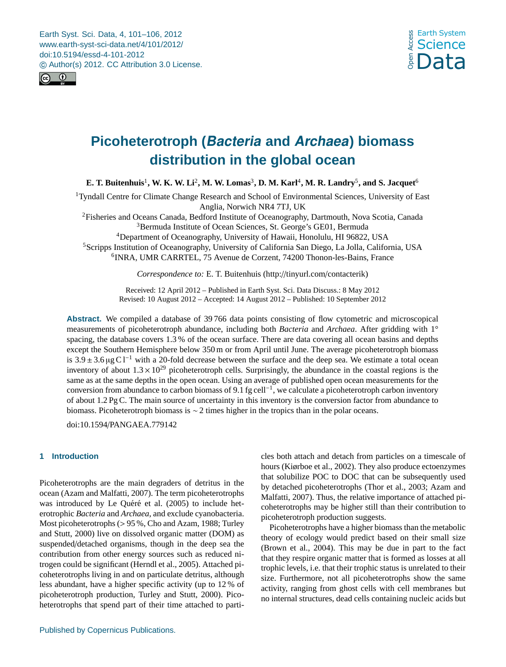<span id="page-0-0"></span>Earth Syst. Sci. Data, 4, 101–106, 2012 www.earth-syst-sci-data.net/4/101/2012/ doi:10.5194/essd-4-101-2012 © Author(s) 2012. CC Attribution 3.0 License.





# **Picoheterotroph (Bacteria and Archaea) biomass distribution in the global ocean**

**E. T. Buitenhuis**<sup>1</sup> **, W. K. W. Li**<sup>2</sup> **, M. W. Lomas**<sup>3</sup> **, D. M. Karl**<sup>4</sup> **, M. R. Landry**<sup>5</sup> **, and S. Jacquet**<sup>6</sup>

<sup>1</sup>Tyndall Centre for Climate Change Research and School of Environmental Sciences, University of East Anglia, Norwich NR4 7TJ, UK

<sup>2</sup>Fisheries and Oceans Canada, Bedford Institute of Oceanography, Dartmouth, Nova Scotia, Canada <sup>3</sup>Bermuda Institute of Ocean Sciences, St. George's GE01, Bermuda

<sup>4</sup>Department of Oceanography, University of Hawaii, Honolulu, HI 96822, USA <sup>5</sup>Scripps Institution of Oceanography, University of California San Diego, La Jolla, California, USA 6 INRA, UMR CARRTEL, 75 Avenue de Corzent, 74200 Thonon-les-Bains, France

*Correspondence to:* E. T. Buitenhuis (http://[tinyurl.com](http://tinyurl.com/contacterik)/contacterik)

Received: 12 April 2012 – Published in Earth Syst. Sci. Data Discuss.: 8 May 2012 Revised: 10 August 2012 – Accepted: 14 August 2012 – Published: 10 September 2012

**Abstract.** We compiled a database of 39 766 data points consisting of flow cytometric and microscopical measurements of picoheterotroph abundance, including both *Bacteria* and *Archaea*. After gridding with 1° spacing, the database covers 1.3 % of the ocean surface. There are data covering all ocean basins and depths except the Southern Hemisphere below 350 m or from April until June. The average picoheterotroph biomass is 3.9 ± 3.6 µg C l<sup>−1</sup> with a 20-fold decrease between the surface and the deep sea. We estimate a total ocean inventory of about  $1.3 \times 10^{29}$  picoheterotroph cells. Surprisingly, the abundance in the coastal regions is the same as at the same depths in the open ocean. Using an average of published open ocean measurements for the conversion from abundance to carbon biomass of 9.1 fg cell<sup>-1</sup>, we calculate a picoheterotroph carbon inventory of about 1.2 Pg C. The main source of uncertainty in this inventory is the conversion factor from abundance to biomass. Picoheterotroph biomass is ∼ 2 times higher in the tropics than in the polar oceans.

doi:10.1594/[PANGAEA.779142](http://dx.doi.org/10.1594/PANGAEA.779142)

# **1 Introduction**

Picoheterotrophs are the main degraders of detritus in the ocean (Azam and Malfatti, 2007). The term picoheterotrophs was introduced by Le Quéré et al. (2005) to include heterotrophic *Bacteria* and *Archaea*, and exclude cyanobacteria. Most picoheterotrophs (> 95 %, Cho and Azam, 1988; Turley and Stutt, 2000) live on dissolved organic matter (DOM) as suspended/detached organisms, though in the deep sea the contribution from other energy sources such as reduced nitrogen could be significant (Herndl et al., 2005). Attached picoheterotrophs living in and on particulate detritus, although less abundant, have a higher specific activity (up to 12 % of picoheterotroph production, Turley and Stutt, 2000). Picoheterotrophs that spend part of their time attached to particles both attach and detach from particles on a timescale of hours (Kiørboe et al., 2002). They also produce ectoenzymes that solubilize POC to DOC that can be subsequently used by detached picoheterotrophs (Thor et al., 2003; Azam and Malfatti, 2007). Thus, the relative importance of attached picoheterotrophs may be higher still than their contribution to picoheterotroph production suggests.

Picoheterotrophs have a higher biomass than the metabolic theory of ecology would predict based on their small size (Brown et al., 2004). This may be due in part to the fact that they respire organic matter that is formed as losses at all trophic levels, i.e. that their trophic status is unrelated to their size. Furthermore, not all picoheterotrophs show the same activity, ranging from ghost cells with cell membranes but no internal structures, dead cells containing nucleic acids but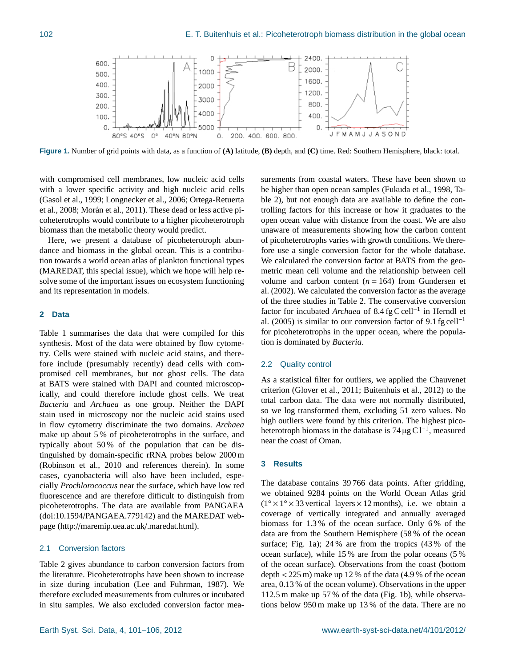

**Figure 1.** Number of grid points with data, as a function of **(A)** latitude, **(B)** depth, and **(C)** time. Red: Southern Hemisphere, black: total.

with compromised cell membranes, low nucleic acid cells with a lower specific activity and high nucleic acid cells (Gasol et al., 1999; Longnecker et al., 2006; Ortega-Retuerta et al., 2008; Morán et al., 2011). These dead or less active picoheterotrophs would contribute to a higher picoheterotroph biomass than the metabolic theory would predict.

Here, we present a database of picoheterotroph abundance and biomass in the global ocean. This is a contribution towards a world ocean atlas of plankton functional types (MAREDAT, this special issue), which we hope will help resolve some of the important issues on ecosystem functioning and its representation in models.

## **2 Data**

Table 1 summarises the data that were compiled for this synthesis. Most of the data were obtained by flow cytometry. Cells were stained with nucleic acid stains, and therefore include (presumably recently) dead cells with compromised cell membranes, but not ghost cells. The data at BATS were stained with DAPI and counted microscopically, and could therefore include ghost cells. We treat *Bacteria* and *Archaea* as one group. Neither the DAPI stain used in microscopy nor the nucleic acid stains used in flow cytometry discriminate the two domains. *Archaea* make up about 5 % of picoheterotrophs in the surface, and typically about 50 % of the population that can be distinguished by domain-specific rRNA probes below 2000 m (Robinson et al., 2010 and references therein). In some cases, cyanobacteria will also have been included, especially *Prochlorococcus* near the surface, which have low red fluorescence and are therefore difficult to distinguish from picoheterotrophs. The data are available from PANGAEA (doi:10.1594/[PANGAEA.779142\)](http://dx.doi.org/10.1594/PANGAEA.779142) and the MAREDAT webpage (http://[maremip.uea.ac.uk](http://maremip.uea.ac.uk/.maredat.html)/.maredat.html).

## 2.1 Conversion factors

Table 2 gives abundance to carbon conversion factors from the literature. Picoheterotrophs have been shown to increase in size during incubation (Lee and Fuhrman, 1987). We therefore excluded measurements from cultures or incubated in situ samples. We also excluded conversion factor measurements from coastal waters. These have been shown to be higher than open ocean samples (Fukuda et al., 1998, Table 2), but not enough data are available to define the controlling factors for this increase or how it graduates to the open ocean value with distance from the coast. We are also unaware of measurements showing how the carbon content of picoheterotrophs varies with growth conditions. We therefore use a single conversion factor for the whole database. We calculated the conversion factor at BATS from the geometric mean cell volume and the relationship between cell volume and carbon content  $(n = 164)$  from Gundersen et al. (2002). We calculated the conversion factor as the average of the three studies in Table 2. The conservative conversion factor for incubated *Archaea* of 8.4 fg C cell<sup>−</sup><sup>1</sup> in Herndl et al. (2005) is similar to our conversion factor of 9.1 fg cell<sup>-1</sup> for picoheterotrophs in the upper ocean, where the population is dominated by *Bacteria*.

#### 2.2 Quality control

As a statistical filter for outliers, we applied the Chauvenet criterion (Glover et al., 2011; Buitenhuis et al., 2012) to the total carbon data. The data were not normally distributed, so we log transformed them, excluding 51 zero values. No high outliers were found by this criterion. The highest picoheterotroph biomass in the database is  $74 \mu g C l^{-1}$ , measured near the coast of Oman.

#### **3 Results**

The database contains 39 766 data points. After gridding, we obtained 9284 points on the World Ocean Atlas grid  $(1^\circ \times 1^\circ \times 33$  vertical layers  $\times 12$  months), i.e. we obtain a coverage of vertically integrated and annually averaged biomass for 1.3 % of the ocean surface. Only 6 % of the data are from the Southern Hemisphere (58 % of the ocean surface; Fig. 1a); 24 % are from the tropics (43 % of the ocean surface), while 15 % are from the polar oceans (5 % of the ocean surface). Observations from the coast (bottom depth  $<$  225 m) make up 12 % of the data (4.9 % of the ocean area, 0.13 % of the ocean volume). Observations in the upper 112.5 m make up 57 % of the data (Fig. 1b), while observations below 950 m make up 13 % of the data. There are no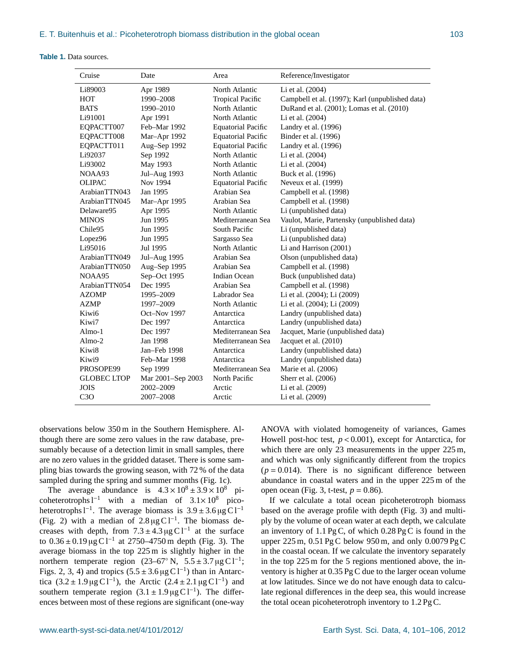#### **Table 1.** Data sources.

| Cruise             | Date              | Area                      | Reference/Investigator                          |
|--------------------|-------------------|---------------------------|-------------------------------------------------|
| Li89003            | Apr 1989          | North Atlantic            | Li et al. (2004)                                |
| HOT                | 1990-2008         | <b>Tropical Pacific</b>   | Campbell et al. (1997); Karl (unpublished data) |
| <b>BATS</b>        | 1990-2010         | North Atlantic            | DuRand et al. (2001); Lomas et al. (2010)       |
| Li91001            | Apr 1991          | North Atlantic            | Li et al. (2004)                                |
| EQPACTT007         | Feb-Mar 1992      | <b>Equatorial Pacific</b> | Landry et al. (1996)                            |
| EQPACTT008         | Mar-Apr 1992      | <b>Equatorial Pacific</b> | Binder et al. (1996)                            |
| EOPACTT011         | Aug-Sep 1992      | <b>Equatorial Pacific</b> | Landry et al. (1996)                            |
| Li92037            | Sep 1992          | North Atlantic            | Li et al. (2004)                                |
| Li93002            | May 1993          | North Atlantic            | Li et al. (2004)                                |
| NOAA93             | Jul-Aug 1993      | North Atlantic            | Buck et al. (1996)                              |
| <b>OLIPAC</b>      | Nov 1994          | <b>Equatorial Pacific</b> | Neveux et al. (1999)                            |
| ArabianTTN043      | Jan 1995          | Arabian Sea               | Campbell et al. (1998)                          |
| ArabianTTN045      | Mar-Apr 1995      | Arabian Sea               | Campbell et al. (1998)                          |
| Delaware95         | Apr 1995          | North Atlantic            | Li (unpublished data)                           |
| <b>MINOS</b>       | Jun 1995          | Mediterranean Sea         | Vaulot, Marie, Partensky (unpublished data)     |
| Chile95            | Jun 1995          | South Pacific             | Li (unpublished data)                           |
| Lopez96            | Jun 1995          | Sargasso Sea              | Li (unpublished data)                           |
| Li95016            | Jul 1995          | North Atlantic            | Li and Harrison (2001)                          |
| ArabianTTN049      | Jul-Aug 1995      | Arabian Sea               | Olson (unpublished data)                        |
| ArabianTTN050      | Aug-Sep 1995      | Arabian Sea               | Campbell et al. (1998)                          |
| NOAA95             | Sep-Oct 1995      | <b>Indian Ocean</b>       | Buck (unpublished data)                         |
| ArabianTTN054      | Dec 1995          | Arabian Sea               | Campbell et al. (1998)                          |
| <b>AZOMP</b>       | 1995-2009         | Labrador Sea              | Li et al. (2004); Li (2009)                     |
| <b>AZMP</b>        | 1997-2009         | North Atlantic            | Li et al. (2004); Li (2009)                     |
| Kiwi6              | Oct-Nov 1997      | Antarctica                | Landry (unpublished data)                       |
| Kiwi7              | Dec 1997          | Antarctica                | Landry (unpublished data)                       |
| $Almo-1$           | Dec 1997          | Mediterranean Sea         | Jacquet, Marie (unpublished data)               |
| $Almo-2$           | Jan 1998          | Mediterranean Sea         | Jacquet et al. (2010)                           |
| Kiwi8              | Jan-Feb 1998      | Antarctica                | Landry (unpublished data)                       |
| Kiwi9              | Feb-Mar 1998      | Antarctica                | Landry (unpublished data)                       |
| PROSOPE99          | Sep 1999          | Mediterranean Sea         | Marie et al. (2006)                             |
| <b>GLOBEC LTOP</b> | Mar 2001-Sep 2003 | North Pacific             | Sherr et al. (2006)                             |
| <b>JOIS</b>        | 2002-2009         | Arctic                    | Li et al. (2009)                                |
| C3O                | 2007-2008         | Arctic                    | Li et al. (2009)                                |

observations below 350 m in the Southern Hemisphere. Although there are some zero values in the raw database, presumably because of a detection limit in small samples, there are no zero values in the gridded dataset. There is some sampling bias towards the growing season, with 72 % of the data sampled during the spring and summer months (Fig. 1c).

The average abundance is  $4.3 \times 10^8 \pm 3.9 \times 10^8$  picoheterotrophs  $l^{-1}$  with a median of  $3.1 \times 10^8$  picoheterotrophs l<sup>-1</sup>. The average biomass is  $3.9 \pm 3.6 \mu g C l^{-1}$ <br>(Fig. 2) with a median of 2.8 µg Cl<sup>-1</sup>. The biomass de-(Fig. 2) with a median of  $2.8 \mu g C l^{-1}$ . The biomass decreases with depth, from  $7.3 \pm 4.3 \,\mu g C l^{-1}$  at the surface to  $0.36 \pm 0.19 \,\text{µg C}^{-1}$  at 2750–4750 m depth (Fig. 3). The average biomass in the top 225 m is slightly higher in the northern temperate region  $(23-67° \text{ N}, 5.5 \pm 3.7 \mu \text{g C} \text{ C}^{-1})$ ; Figs. 2, 3, 4) and tropics  $(5.5 \pm 3.6 \,\mu\text{g C1}^{-1})$  than in Antarctica  $(3.2 \pm 1.9 \,\text{µg C1}^{-1})$ , the Arctic  $(2.4 \pm 2.1 \,\text{µg C1}^{-1})$  and southern temperate region  $(3.1 \pm 1.9 \,\mu g \,\text{C} \,\text{I}^{-1})$ . The differences between most of these regions are significant (one-way ANOVA with violated homogeneity of variances, Games Howell post-hoc test, *<sup>p</sup>* < 0.001), except for Antarctica, for which there are only 23 measurements in the upper 225 m, and which was only significantly different from the tropics  $(p = 0.014)$ . There is no significant difference between abundance in coastal waters and in the upper 225 m of the open ocean (Fig. 3, t-test, *<sup>p</sup>* <sup>=</sup> <sup>0</sup>.86).

If we calculate a total ocean picoheterotroph biomass based on the average profile with depth (Fig. 3) and multiply by the volume of ocean water at each depth, we calculate an inventory of  $1.1 \text{ pgC}$ , of which  $0.28 \text{ pgC}$  is found in the upper 225 m, 0.51 Pg C below 950 m, and only 0.0079 Pg C in the coastal ocean. If we calculate the inventory separately in the top 225 m for the 5 regions mentioned above, the inventory is higher at 0.35 Pg C due to the larger ocean volume at low latitudes. Since we do not have enough data to calculate regional differences in the deep sea, this would increase the total ocean picoheterotroph inventory to 1.2 Pg C.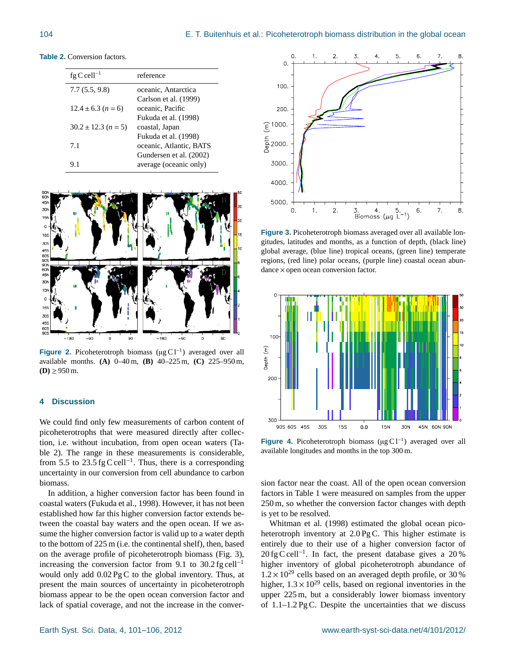| <b>Table 2.</b> Conversion factors. |
|-------------------------------------|
|-------------------------------------|

| fg C cell <sup>-1</sup>  | reference               |
|--------------------------|-------------------------|
| 7.7(5.5, 9.8)            | oceanic, Antarctica     |
|                          | Carlson et al. (1999)   |
| $12.4 \pm 6.3$ $(n = 6)$ | oceanic, Pacific        |
|                          | Fukuda et al. (1998)    |
| $30.2 \pm 12.3$ (n = 5)  | coastal, Japan          |
|                          | Fukuda et al. (1998)    |
| 7.1                      | oceanic, Atlantic, BATS |
|                          | Gundersen et al. (2002) |
| 9.1                      | average (oceanic only)  |



Figure 2. Picoheterotroph biomass (µg C1<sup>-1</sup>) averaged over all available months. **(A)** 0–40 m, **(B)** 40–225 m, **(C)** 225–950 m,  $(**D**) ≥ 950 m.$ 

# **4 Discussion**

We could find only few measurements of carbon content of picoheterotrophs that were measured directly after collection, i.e. without incubation, from open ocean waters (Table 2). The range in these measurements is considerable, from 5.5 to 23.5 fg C cell<sup>-1</sup>. Thus, there is a corresponding uncertainty in our conversion from cell abundance to carbon biomass.

In addition, a higher conversion factor has been found in coastal waters (Fukuda et al., 1998). However, it has not been established how far this higher conversion factor extends between the coastal bay waters and the open ocean. If we assume the higher conversion factor is valid up to a water depth to the bottom of 225 m (i.e. the continental shelf), then, based on the average profile of picoheterotroph biomass (Fig. 3), increasing the conversion factor from 9.1 to  $30.2$  fg cell<sup>-1</sup> would only add 0.02 Pg C to the global inventory. Thus, at present the main sources of uncertainty in picoheterotroph biomass appear to be the open ocean conversion factor and lack of spatial coverage, and not the increase in the conver-



**Figure 3.** Picoheterotroph biomass averaged over all available longitudes, latitudes and months, as a function of depth, (black line) global average, (blue line) tropical oceans, (green line) temperate regions, (red line) polar oceans, (purple line) coastal ocean abundance × open ocean conversion factor.



Figure 4. Picoheterotroph biomass (µg C1<sup>-1</sup>) averaged over all available longitudes and months in the top 300 m.

sion factor near the coast. All of the open ocean conversion factors in Table 1 were measured on samples from the upper 250 m, so whether the conversion factor changes with depth is yet to be resolved.

Whitman et al. (1998) estimated the global ocean picoheterotroph inventory at 2.0 Pg C. This higher estimate is entirely due to their use of a higher conversion factor of 20 fg C cell<sup>-1</sup>. In fact, the present database gives a 20 % higher inventory of global picoheterotroph abundance of  $1.2 \times 10^{29}$  cells based on an averaged depth profile, or 30 % higher,  $1.3 \times 10^{29}$  cells, based on regional inventories in the upper 225 m, but a considerably lower biomass inventory of 1.1–1.2 Pg C. Despite the uncertainties that we discuss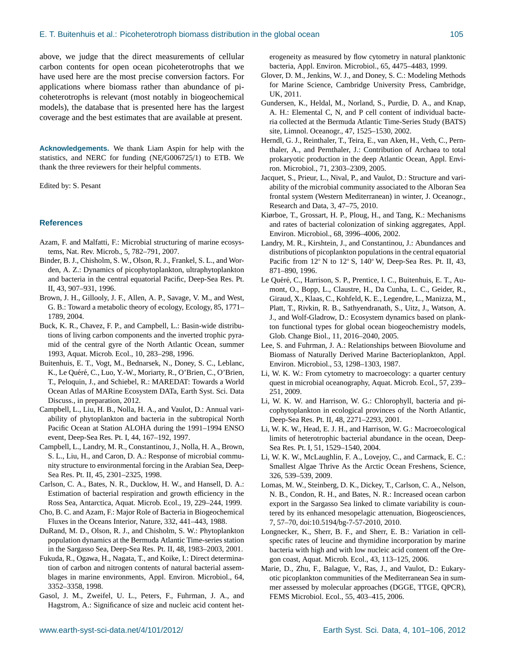above, we judge that the direct measurements of cellular carbon contents for open ocean picoheterotrophs that we have used here are the most precise conversion factors. For applications where biomass rather than abundance of picoheterotrophs is relevant (most notably in biogeochemical models), the database that is presented here has the largest coverage and the best estimates that are available at present.

**Acknowledgements.** We thank Liam Aspin for help with the statistics, and NERC for funding (NE/G006725/1) to ETB. We thank the three reviewers for their helpful comments.

Edited by: S. Pesant

### **References**

- Azam, F. and Malfatti, F.: Microbial structuring of marine ecosystems, Nat. Rev. Microb., 5, 782–791, 2007.
- Binder, B. J., Chisholm, S. W., Olson, R. J., Frankel, S. L., and Worden, A. Z.: Dynamics of picophytoplankton, ultraphytoplankton and bacteria in the central equatorial Pacific, Deep-Sea Res. Pt. II, 43, 907–931, 1996.
- Brown, J. H., Gillooly, J. F., Allen, A. P., Savage, V. M., and West, G. B.: Toward a metabolic theory of ecology, Ecology, 85, 1771– 1789, 2004.
- Buck, K. R., Chavez, F. P., and Campbell, L.: Basin-wide distributions of living carbon components and the inverted trophic pyramid of the central gyre of the North Atlantic Ocean, summer 1993, Aquat. Microb. Ecol., 10, 283–298, 1996.
- Buitenhuis, E. T., Vogt, M., Bednarsek, N., Doney, S. C., Leblanc, K., Le Quéré, C., Luo, Y.-W., Moriarty, R., O'Brien, C., O'Brien, T., Peloquin, J., and Schiebel, R.: MAREDAT: Towards a World Ocean Atlas of MARine Ecosystem DATa, Earth Syst. Sci. Data Discuss., in preparation, 2012.
- Campbell, L., Liu, H. B., Nolla, H. A., and Vaulot, D.: Annual variability of phytoplankton and bacteria in the subtropical North Pacific Ocean at Station ALOHA during the 1991–1994 ENSO event, Deep-Sea Res. Pt. I, 44, 167–192, 1997.
- Campbell, L., Landry, M. R., Constantinou, J., Nolla, H. A., Brown, S. L., Liu, H., and Caron, D. A.: Response of microbial community structure to environmental forcing in the Arabian Sea, Deep-Sea Res. Pt. II, 45, 2301–2325, 1998.
- Carlson, C. A., Bates, N. R., Ducklow, H. W., and Hansell, D. A.: Estimation of bacterial respiration and growth efficiency in the Ross Sea, Antarctica, Aquat. Microb. Ecol., 19, 229–244, 1999.
- Cho, B. C. and Azam, F.: Major Role of Bacteria in Biogeochemical Fluxes in the Oceans Interior, Nature, 332, 441–443, 1988.
- DuRand, M. D., Olson, R. J., and Chisholm, S. W.: Phytoplankton population dynamics at the Bermuda Atlantic Time-series station in the Sargasso Sea, Deep-Sea Res. Pt. II, 48, 1983–2003, 2001.
- Fukuda, R., Ogawa, H., Nagata, T., and Koike, I.: Direct determination of carbon and nitrogen contents of natural bacterial assemblages in marine environments, Appl. Environ. Microbiol., 64, 3352–3358, 1998.
- Gasol, J. M., Zweifel, U. L., Peters, F., Fuhrman, J. A., and Hagstrom, A.: Significance of size and nucleic acid content het-

erogeneity as measured by flow cytometry in natural planktonic bacteria, Appl. Environ. Microbiol., 65, 4475–4483, 1999.

- Glover, D. M., Jenkins, W. J., and Doney, S. C.: Modeling Methods for Marine Science, Cambridge University Press, Cambridge, UK, 2011.
- Gundersen, K., Heldal, M., Norland, S., Purdie, D. A., and Knap, A. H.: Elemental C, N, and P cell content of individual bacteria collected at the Bermuda Atlantic Time-Series Study (BATS) site, Limnol. Oceanogr., 47, 1525–1530, 2002.
- Herndl, G. J., Reinthaler, T., Teira, E., van Aken, H., Veth, C., Pernthaler, A., and Pernthaler, J.: Contribution of Archaea to total prokaryotic production in the deep Atlantic Ocean, Appl. Environ. Microbiol., 71, 2303–2309, 2005.
- Jacquet, S., Prieur, L., Nival, P., and Vaulot, D.: Structure and variability of the microbial community associated to the Alboran Sea frontal system (Western Mediterranean) in winter, J. Oceanogr., Research and Data, 3, 47–75, 2010.
- Kiørboe, T., Grossart, H. P., Ploug, H., and Tang, K.: Mechanisms and rates of bacterial colonization of sinking aggregates, Appl. Environ. Microbiol., 68, 3996–4006, 2002.
- Landry, M. R., Kirshtein, J., and Constantinou, J.: Abundances and distributions of picoplankton populations in the central equatorial Pacific from 12◦ N to 12◦ S, 140◦ W, Deep-Sea Res. Pt. II, 43, 871–890, 1996.
- Le Quéré, C., Harrison, S. P., Prentice, I. C., Buitenhuis, E. T., Aumont, O., Bopp, L., Claustre, H., Da Cunha, L. C., Geider, R., Giraud, X., Klaas, C., Kohfeld, K. E., Legendre, L., Manizza, M., Platt, T., Rivkin, R. B., Sathyendranath, S., Uitz, J., Watson, A. J., and Wolf-Gladrow, D.: Ecosystem dynamics based on plankton functional types for global ocean biogeochemistry models, Glob. Change Biol., 11, 2016–2040, 2005.
- Lee, S. and Fuhrman, J. A.: Relationships between Biovolume and Biomass of Naturally Derived Marine Bacterioplankton, Appl. Environ. Microbiol., 53, 1298–1303, 1987.
- Li, W. K. W.: From cytometry to macroecology: a quarter century quest in microbial oceanography, Aquat. Microb. Ecol., 57, 239– 251, 2009.
- Li, W. K. W. and Harrison, W. G.: Chlorophyll, bacteria and picophytoplankton in ecological provinces of the North Atlantic, Deep-Sea Res. Pt. II, 48, 2271–2293, 2001.
- Li, W. K. W., Head, E. J. H., and Harrison, W. G.: Macroecological limits of heterotrophic bacterial abundance in the ocean, Deep-Sea Res. Pt. I, 51, 1529–1540, 2004.
- Li, W. K. W., McLaughlin, F. A., Lovejoy, C., and Carmack, E. C.: Smallest Algae Thrive As the Arctic Ocean Freshens, Science, 326, 539–539, 2009.
- Lomas, M. W., Steinberg, D. K., Dickey, T., Carlson, C. A., Nelson, N. B., Condon, R. H., and Bates, N. R.: Increased ocean carbon export in the Sargasso Sea linked to climate variability is countered by its enhanced mesopelagic attenuation, Biogeosciences, 7, 57–70, doi:10.5194/[bg-7-57-2010,](http://dx.doi.org/10.5194/bg-7-57-2010) 2010.
- Longnecker, K., Sherr, B. F., and Sherr, E. B.: Variation in cellspecific rates of leucine and thymidine incorporation by marine bacteria with high and with low nucleic acid content off the Oregon coast, Aquat. Microb. Ecol., 43, 113–125, 2006.
- Marie, D., Zhu, F., Balague, V., Ras, J., and Vaulot, D.: Eukaryotic picoplankton communities of the Mediterranean Sea in summer assessed by molecular approaches (DGGE, TTGE, QPCR), FEMS Microbiol. Ecol., 55, 403–415, 2006.